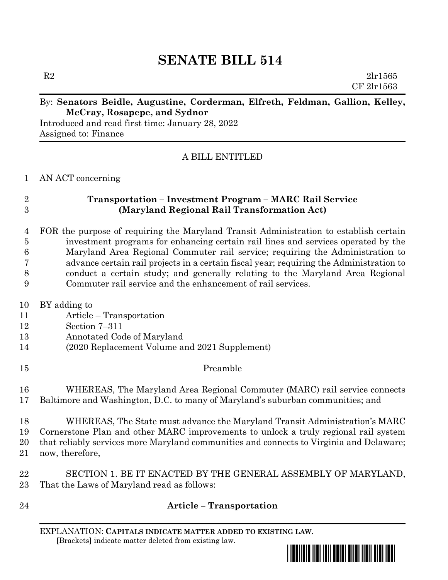# **SENATE BILL 514**

 $R2$   $2l$ r1565 CF 2lr1563

#### By: **Senators Beidle, Augustine, Corderman, Elfreth, Feldman, Gallion, Kelley, McCray, Rosapepe, and Sydnor**

Introduced and read first time: January 28, 2022 Assigned to: Finance

### A BILL ENTITLED

AN ACT concerning

## **Transportation – Investment Program – MARC Rail Service (Maryland Regional Rail Transformation Act)**

 FOR the purpose of requiring the Maryland Transit Administration to establish certain investment programs for enhancing certain rail lines and services operated by the Maryland Area Regional Commuter rail service; requiring the Administration to advance certain rail projects in a certain fiscal year; requiring the Administration to conduct a certain study; and generally relating to the Maryland Area Regional Commuter rail service and the enhancement of rail services.

- BY adding to
- Article Transportation
- Section 7–311
- Annotated Code of Maryland
- (2020 Replacement Volume and 2021 Supplement)
- Preamble

 WHEREAS, The Maryland Area Regional Commuter (MARC) rail service connects Baltimore and Washington, D.C. to many of Maryland's suburban communities; and

 WHEREAS, The State must advance the Maryland Transit Administration's MARC Cornerstone Plan and other MARC improvements to unlock a truly regional rail system that reliably services more Maryland communities and connects to Virginia and Delaware; now, therefore,

 SECTION 1. BE IT ENACTED BY THE GENERAL ASSEMBLY OF MARYLAND, That the Laws of Maryland read as follows:

**Article – Transportation**

EXPLANATION: **CAPITALS INDICATE MATTER ADDED TO EXISTING LAW**.  **[**Brackets**]** indicate matter deleted from existing law.

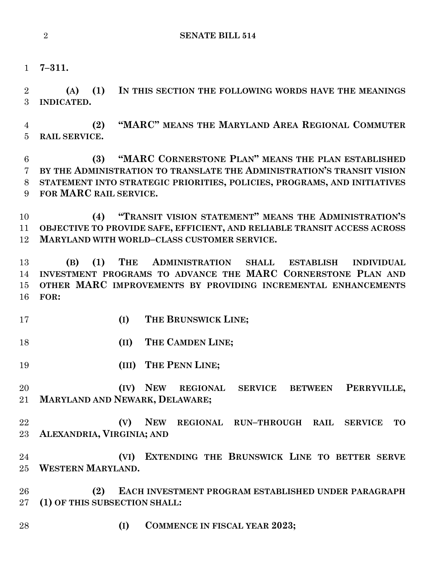**7–311.**

 **(A) (1) IN THIS SECTION THE FOLLOWING WORDS HAVE THE MEANINGS INDICATED.**

 **(2) "MARC" MEANS THE MARYLAND AREA REGIONAL COMMUTER RAIL SERVICE.**

 **(3) "MARC CORNERSTONE PLAN" MEANS THE PLAN ESTABLISHED BY THE ADMINISTRATION TO TRANSLATE THE ADMINISTRATION'S TRANSIT VISION STATEMENT INTO STRATEGIC PRIORITIES, POLICIES, PROGRAMS, AND INITIATIVES FOR MARC RAIL SERVICE.**

 **(4) "TRANSIT VISION STATEMENT" MEANS THE ADMINISTRATION'S OBJECTIVE TO PROVIDE SAFE, EFFICIENT, AND RELIABLE TRANSIT ACCESS ACROSS MARYLAND WITH WORLD–CLASS CUSTOMER SERVICE.**

 **(B) (1) THE ADMINISTRATION SHALL ESTABLISH INDIVIDUAL INVESTMENT PROGRAMS TO ADVANCE THE MARC CORNERSTONE PLAN AND OTHER MARC IMPROVEMENTS BY PROVIDING INCREMENTAL ENHANCEMENTS FOR:**

- **(I) THE BRUNSWICK LINE;**
- **(II) THE CAMDEN LINE;**
- **(III) THE PENN LINE;**

 **(IV) NEW REGIONAL SERVICE BETWEEN PERRYVILLE, MARYLAND AND NEWARK, DELAWARE;**

 **(V) NEW REGIONAL RUN–THROUGH RAIL SERVICE TO ALEXANDRIA, VIRGINIA; AND**

 **(VI) EXTENDING THE BRUNSWICK LINE TO BETTER SERVE WESTERN MARYLAND.**

 **(2) EACH INVESTMENT PROGRAM ESTABLISHED UNDER PARAGRAPH (1) OF THIS SUBSECTION SHALL:**

**(I) COMMENCE IN FISCAL YEAR 2023;**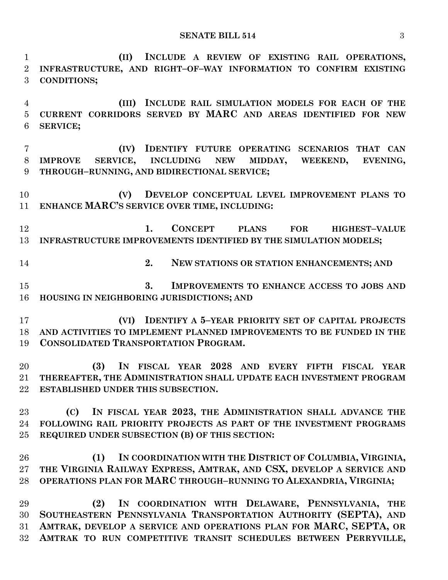**(II) INCLUDE A REVIEW OF EXISTING RAIL OPERATIONS, INFRASTRUCTURE, AND RIGHT–OF–WAY INFORMATION TO CONFIRM EXISTING CONDITIONS; (III) INCLUDE RAIL SIMULATION MODELS FOR EACH OF THE CURRENT CORRIDORS SERVED BY MARC AND AREAS IDENTIFIED FOR NEW SERVICE; (IV) IDENTIFY FUTURE OPERATING SCENARIOS THAT CAN IMPROVE SERVICE, INCLUDING NEW MIDDAY, WEEKEND, EVENING, THROUGH–RUNNING, AND BIDIRECTIONAL SERVICE; (V) DEVELOP CONCEPTUAL LEVEL IMPROVEMENT PLANS TO ENHANCE MARC'S SERVICE OVER TIME, INCLUDING: 1. CONCEPT PLANS FOR HIGHEST–VALUE INFRASTRUCTURE IMPROVEMENTS IDENTIFIED BY THE SIMULATION MODELS; 2. NEW STATIONS OR STATION ENHANCEMENTS; AND 3. IMPROVEMENTS TO ENHANCE ACCESS TO JOBS AND HOUSING IN NEIGHBORING JURISDICTIONS; AND (VI) IDENTIFY A 5–YEAR PRIORITY SET OF CAPITAL PROJECTS AND ACTIVITIES TO IMPLEMENT PLANNED IMPROVEMENTS TO BE FUNDED IN THE CONSOLIDATED TRANSPORTATION PROGRAM. (3) IN FISCAL YEAR 2028 AND EVERY FIFTH FISCAL YEAR THEREAFTER, THE ADMINISTRATION SHALL UPDATE EACH INVESTMENT PROGRAM ESTABLISHED UNDER THIS SUBSECTION. (C) IN FISCAL YEAR 2023, THE ADMINISTRATION SHALL ADVANCE THE FOLLOWING RAIL PRIORITY PROJECTS AS PART OF THE INVESTMENT PROGRAMS REQUIRED UNDER SUBSECTION (B) OF THIS SECTION: (1) IN COORDINATION WITH THE DISTRICT OF COLUMBIA, VIRGINIA, THE VIRGINIA RAILWAY EXPRESS, AMTRAK, AND CSX, DEVELOP A SERVICE AND OPERATIONS PLAN FOR MARC THROUGH–RUNNING TO ALEXANDRIA, VIRGINIA; (2) IN COORDINATION WITH DELAWARE, PENNSYLVANIA, THE SOUTHEASTERN PENNSYLVANIA TRANSPORTATION AUTHORITY (SEPTA), AND AMTRAK, DEVELOP A SERVICE AND OPERATIONS PLAN FOR MARC, SEPTA, OR AMTRAK TO RUN COMPETITIVE TRANSIT SCHEDULES BETWEEN PERRYVILLE,**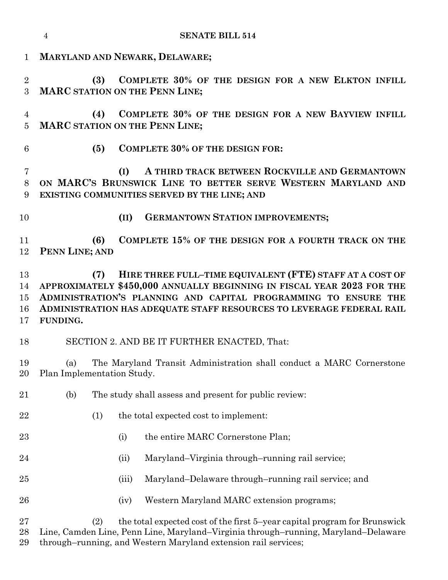|                            | $\overline{4}$                                                                                                                                                                                                                                                                                   |       | <b>SENATE BILL 514</b>                               |
|----------------------------|--------------------------------------------------------------------------------------------------------------------------------------------------------------------------------------------------------------------------------------------------------------------------------------------------|-------|------------------------------------------------------|
| $\mathbf 1$                | MARYLAND AND NEWARK, DELAWARE;                                                                                                                                                                                                                                                                   |       |                                                      |
| $\overline{2}$<br>3        | COMPLETE 30% OF THE DESIGN FOR A NEW ELKTON INFILL<br>(3)<br><b>MARC STATION ON THE PENN LINE;</b>                                                                                                                                                                                               |       |                                                      |
| 4<br>$\overline{5}$        | COMPLETE 30% OF THE DESIGN FOR A NEW BAYVIEW INFILL<br>(4)<br><b>MARC STATION ON THE PENN LINE;</b>                                                                                                                                                                                              |       |                                                      |
| 6                          | (5)                                                                                                                                                                                                                                                                                              |       | <b>COMPLETE 30% OF THE DESIGN FOR:</b>               |
| 7<br>8<br>9                | A THIRD TRACK BETWEEN ROCKVILLE AND GERMANTOWN<br>(I)<br>ON MARC'S BRUNSWICK LINE TO BETTER SERVE WESTERN MARYLAND AND<br>EXISTING COMMUNITIES SERVED BY THE LINE; AND                                                                                                                           |       |                                                      |
| 10                         |                                                                                                                                                                                                                                                                                                  | (II)  | <b>GERMANTOWN STATION IMPROVEMENTS;</b>              |
| 11<br>12                   | (6)<br>PENN LINE; AND                                                                                                                                                                                                                                                                            |       | COMPLETE 15% OF THE DESIGN FOR A FOURTH TRACK ON THE |
| 13<br>14<br>15<br>16<br>17 | HIRE THREE FULL-TIME EQUIVALENT (FTE) STAFF AT A COST OF<br>(7)<br>APPROXIMATELY \$450,000 ANNUALLY BEGINNING IN FISCAL YEAR 2023 FOR THE<br>ADMINISTRATION'S PLANNING AND CAPITAL PROGRAMMING TO ENSURE THE<br>ADMINISTRATION HAS ADEQUATE STAFF RESOURCES TO LEVERAGE FEDERAL RAIL<br>FUNDING. |       |                                                      |
| 18                         | SECTION 2. AND BE IT FURTHER ENACTED, That:                                                                                                                                                                                                                                                      |       |                                                      |
| 19<br>20                   | The Maryland Transit Administration shall conduct a MARC Cornerstone<br>(a)<br>Plan Implementation Study.                                                                                                                                                                                        |       |                                                      |
| 21                         | (b)<br>The study shall assess and present for public review:                                                                                                                                                                                                                                     |       |                                                      |
| 22                         | (1)                                                                                                                                                                                                                                                                                              |       | the total expected cost to implement:                |
| 23                         |                                                                                                                                                                                                                                                                                                  | (i)   | the entire MARC Cornerstone Plan;                    |
| 24                         |                                                                                                                                                                                                                                                                                                  | (ii)  | Maryland–Virginia through–running rail service;      |
| $25\,$                     |                                                                                                                                                                                                                                                                                                  | (iii) | Maryland–Delaware through–running rail service; and  |
| 26                         |                                                                                                                                                                                                                                                                                                  | (iv)  | Western Maryland MARC extension programs;            |
| $27\,$<br>28               | the total expected cost of the first 5-year capital program for Brunswick<br>(2)<br>Line, Camden Line, Penn Line, Maryland–Virginia through–running, Maryland–Delaware                                                                                                                           |       |                                                      |

through–running, and Western Maryland extension rail services;